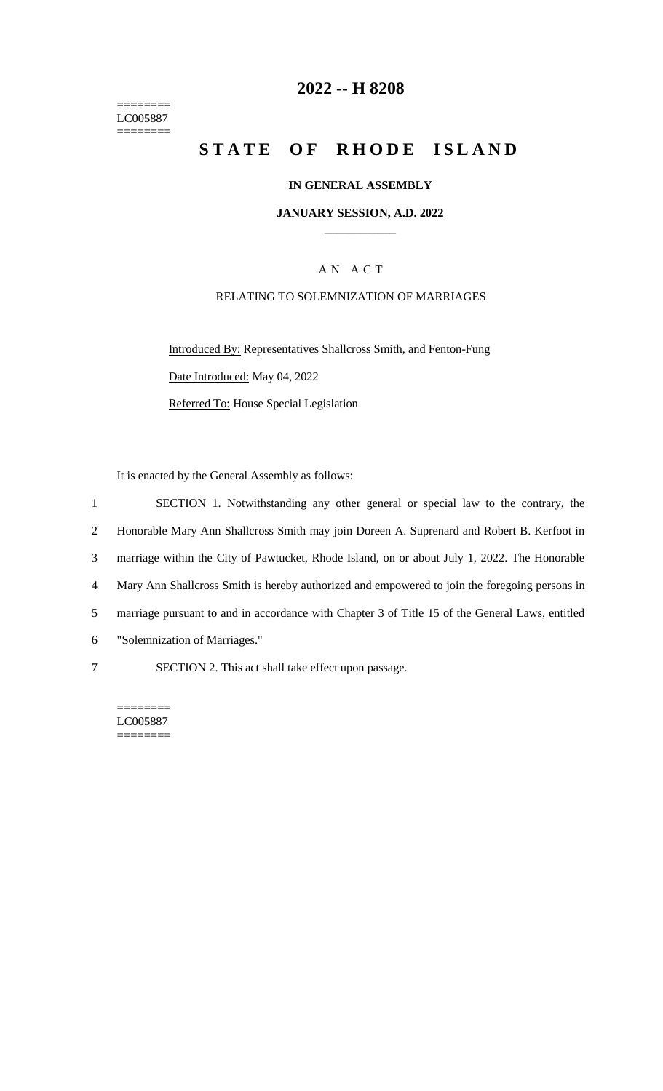======== LC005887 ========

## **2022 -- H 8208**

# **STATE OF RHODE ISLAND**

### **IN GENERAL ASSEMBLY**

#### **JANUARY SESSION, A.D. 2022 \_\_\_\_\_\_\_\_\_\_\_\_**

## A N A C T

## RELATING TO SOLEMNIZATION OF MARRIAGES

Introduced By: Representatives Shallcross Smith, and Fenton-Fung Date Introduced: May 04, 2022 Referred To: House Special Legislation

It is enacted by the General Assembly as follows:

 SECTION 1. Notwithstanding any other general or special law to the contrary, the Honorable Mary Ann Shallcross Smith may join Doreen A. Suprenard and Robert B. Kerfoot in marriage within the City of Pawtucket, Rhode Island, on or about July 1, 2022. The Honorable Mary Ann Shallcross Smith is hereby authorized and empowered to join the foregoing persons in marriage pursuant to and in accordance with Chapter 3 of Title 15 of the General Laws, entitled "Solemnization of Marriages." SECTION 2. This act shall take effect upon passage.

LC005887 ========

========